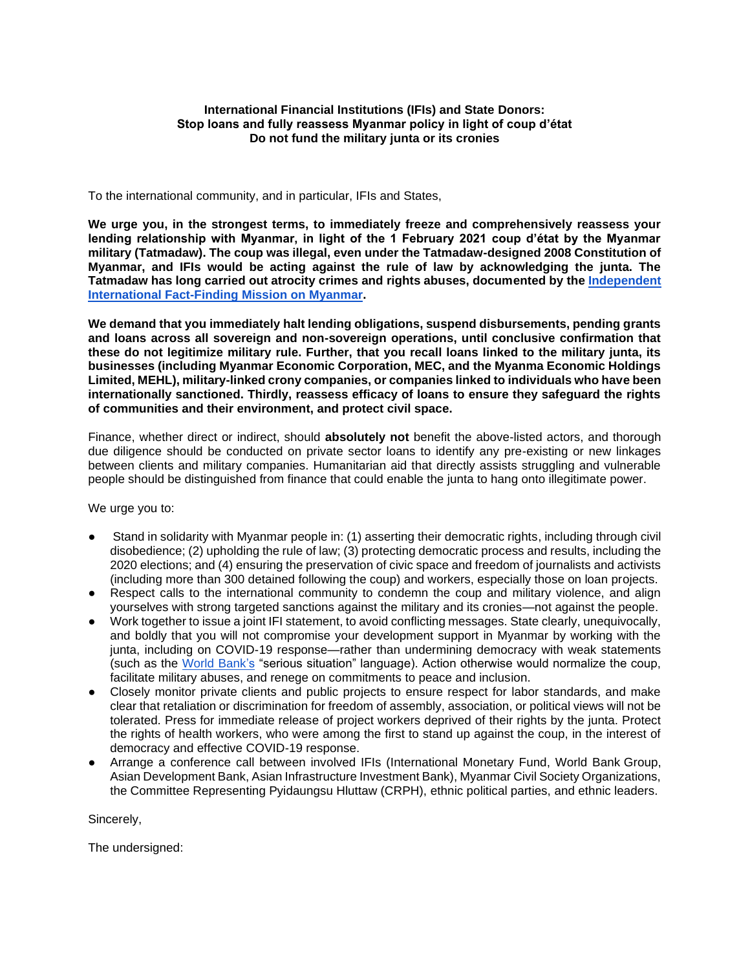## **International Financial Institutions (IFIs) and State Donors: Stop loans and fully reassess Myanmar policy in light of coup d'état Do not fund the military junta or its cronies**

To the international community, and in particular, IFIs and States,

**We urge you, in the strongest terms, to immediately freeze and comprehensively reassess your lending relationship with Myanmar, in light of the 1 February 2021 coup d'état by the Myanmar military (Tatmadaw). The coup was illegal, even under the Tatmadaw-designed 2008 Constitution of Myanmar, and IFIs would be acting against the rule of law by acknowledging the junta. The Tatmadaw has long carried out atrocity crimes and rights abuses, documented by the [Independent](https://www.ohchr.org/Documents/HRBodies/HRCouncil/FFM-Myanmar/20190916/A_HRC_42_CRP.5.pdf)  [International Fact-Finding Mission on Myanmar.](https://www.ohchr.org/Documents/HRBodies/HRCouncil/FFM-Myanmar/20190916/A_HRC_42_CRP.5.pdf)**

**We demand that you immediately halt lending obligations, suspend disbursements, pending grants and loans across all sovereign and non-sovereign operations, until conclusive confirmation that these do not legitimize military rule. Further, that you recall loans linked to the military junta, its businesses (including Myanmar Economic Corporation, MEC, and the Myanma Economic Holdings Limited, MEHL), military-linked crony companies, or companies linked to individuals who have been internationally sanctioned. Thirdly, reassess efficacy of loans to ensure they safeguard the rights of communities and their environment, and protect civil space.**

Finance, whether direct or indirect, should **absolutely not** benefit the above-listed actors, and thorough due diligence should be conducted on private sector loans to identify any pre-existing or new linkages between clients and military companies. Humanitarian aid that directly assists struggling and vulnerable people should be distinguished from finance that could enable the junta to hang onto illegitimate power.

We urge you to:

- Stand in solidarity with Myanmar people in: (1) asserting their democratic rights, including through civil disobedience; (2) upholding the rule of law; (3) protecting democratic process and results, including the 2020 elections; and (4) ensuring the preservation of civic space and freedom of journalists and activists (including more than 300 detained following the coup) and workers, especially those on loan projects.
- Respect calls to the international community to condemn the coup and military violence, and align yourselves with strong targeted sanctions against the military and its cronies—not against the people.
- Work together to issue a joint IFI statement, to avoid conflicting messages. State clearly, unequivocally, and boldly that you will not compromise your development support in Myanmar by working with the junta, including on COVID-19 response—rather than undermining democracy with weak statements (such as th[e](https://www.worldbank.org/en/news/statement/2021/02/01/developments-in-myanmar) [World Bank'](https://www.worldbank.org/en/news/statement/2021/02/01/developments-in-myanmar)s "serious situation" language). Action otherwise would normalize the coup, facilitate military abuses, and renege on commitments to peace and inclusion.
- Closely monitor private clients and public projects to ensure respect for labor standards, and make clear that retaliation or discrimination for freedom of assembly, association, or political views will not be tolerated. Press for immediate release of project workers deprived of their rights by the junta. Protect the rights of health workers, who were among the first to stand up against the coup, in the interest of democracy and effective COVID-19 response.
- Arrange a conference call between involved IFIs (International Monetary Fund, World Bank Group, Asian Development Bank, Asian Infrastructure Investment Bank), Myanmar Civil Society Organizations, the Committee Representing Pyidaungsu Hluttaw (CRPH), ethnic political parties, and ethnic leaders.

Sincerely,

The undersigned: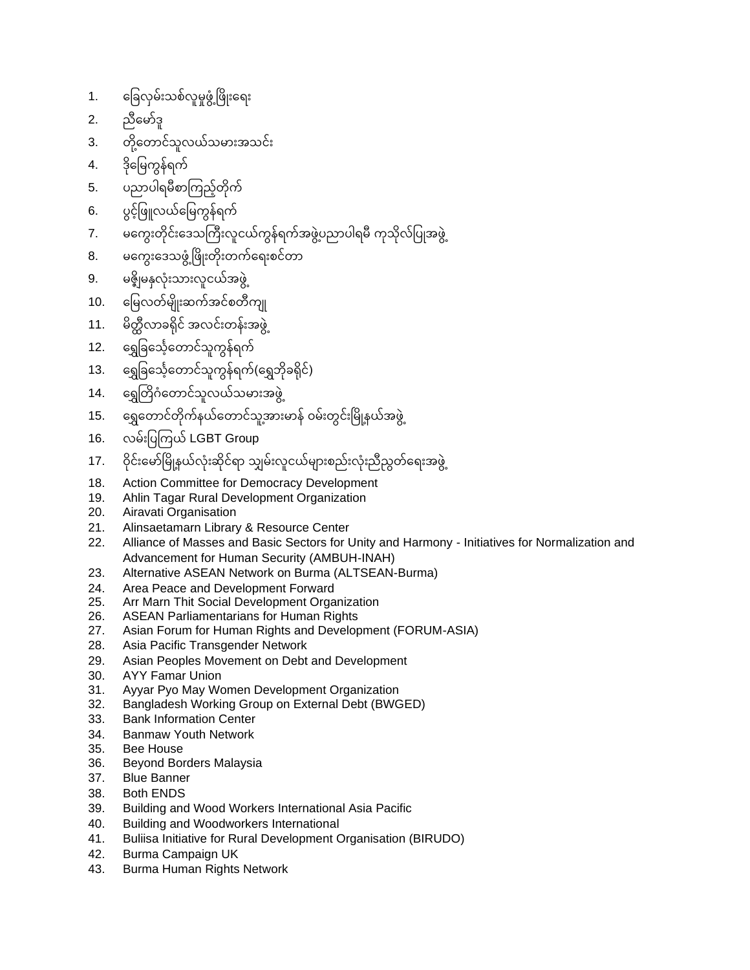- 1. ခြေလှမ်းသစ်လူမှုဖွံ့ဖြိုးရေး
- 2. ညီမော်ဒူ
- 3. တို့တောင်သူလယ်သမားအသင်း
- 4. ဒိုမြေကွန်ရက်
- 5. ပညာပါရမီစာကြည့်တိုက်
- 6. ပွင့်ဖြူလယ်မြေကွန်ရက်
- 7. မကွေးတိုင်းဒေသကြီးလူငယ်ကွန်ရက်အဖွဲ့ပညာပါရမီ ကုသိုလ်ပြုအဖွဲ့
- 8. မကွေးဒေသဖွံ့ ဖြိုးတိုးတက်ရေးစင်တာ
- 9. မဇ္ဈိမနှလုံးသားလူငယ်အဖွဲ့
- 10. မြေလတ်မျိုးဆက်အင်စတီကျု
- 11. မိတ္ထီလာခရိုင် အလင်းတန်းအဖွဲ
- 12. ရွှေခြင်္သေ့တောင်သူကွန်ရက်
- 13. ဓရွှခြင်္သေ့တောင်သူကွန်ရက်(ရွှေဘိုခရိုင်)
- 14. ရွှေတြိဂံတောင်သူလယ်သမားအဖွဲ့
- 15. ခရွတောင်တိုက်နယ်တောင်သူအားမာန် ဝမ်းတွင်းမြို့နယ်အဖွဲ့
- 16. လမ်းပြကြယ် LGBT Group
- 17. ဝိုင်းမော်မြို့နယ်လုံးဆိုင်ရာ သျှမ်းလူငယ်များစည်းလုံးညီညွတ်ရေးအဖွဲ့
- 18. Action Committee for Democracy Development
- 19. Ahlin Tagar Rural Development Organization
- 20. Airavati Organisation
- 21. Alinsaetamarn Library & Resource Center
- 22. Alliance of Masses and Basic Sectors for Unity and Harmony Initiatives for Normalization and Advancement for Human Security (AMBUH-INAH)
- 23. Alternative ASEAN Network on Burma (ALTSEAN-Burma)
- 24. Area Peace and Development Forward
- 25. Arr Marn Thit Social Development Organization
- 26. ASEAN Parliamentarians for Human Rights
- 27. Asian Forum for Human Rights and Development (FORUM-ASIA)
- 28. Asia Pacific Transgender Network
- 29. Asian Peoples Movement on Debt and Development
- 30. AYY Famar Union
- 31. Ayyar Pyo May Women Development Organization
- 32. Bangladesh Working Group on External Debt (BWGED)
- 33. Bank Information Center
- 34. Banmaw Youth Network
- 35. Bee House
- 36. Beyond Borders Malaysia
- 37. Blue Banner
- 38. Both ENDS
- 39. Building and Wood Workers International Asia Pacific
- 40. Building and Woodworkers International
- 41. Buliisa Initiative for Rural Development Organisation (BIRUDO)
- 42. Burma Campaign UK
- 43. Burma Human Rights Network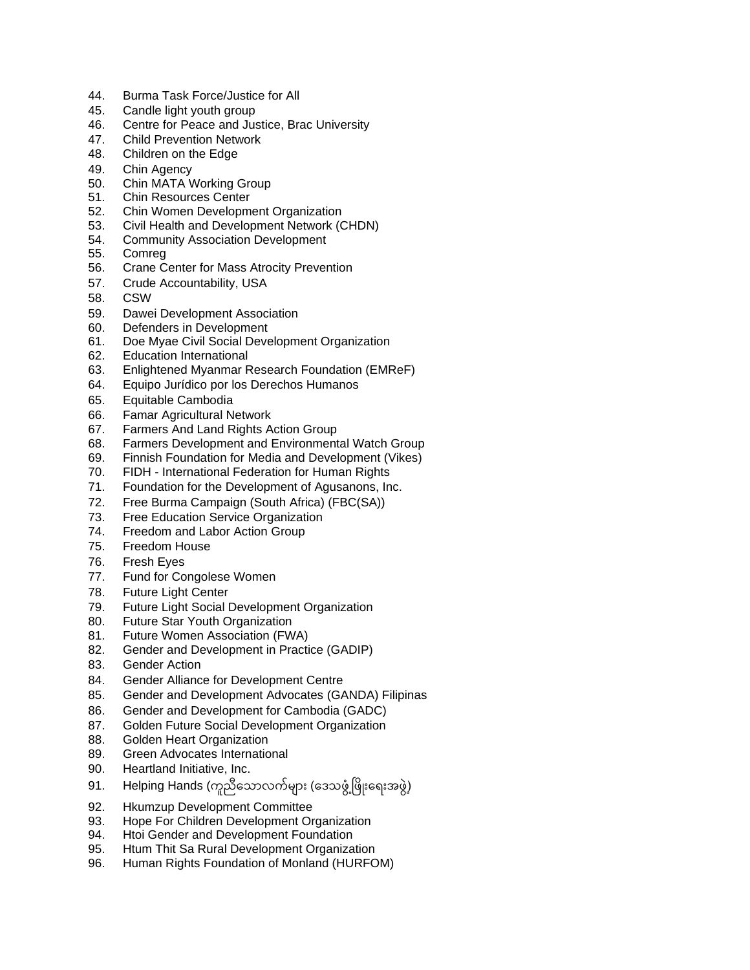- 44. Burma Task Force/Justice for All
- 45. Candle light youth group
- 46. Centre for Peace and Justice, Brac University
- 47. Child Prevention Network
- 48. Children on the Edge
- 49. Chin Agency
- 50. Chin MATA Working Group
- 51. Chin Resources Center
- 52. Chin Women Development Organization
- 53. Civil Health and Development Network (CHDN)
- 54. Community Association Development
- 55. Comreg
- 56. Crane Center for Mass Atrocity Prevention
- 57. Crude Accountability, USA
- 58. CSW
- 59. Dawei Development Association
- 60. Defenders in Development
- 61. Doe Myae Civil Social Development Organization
- 62. Education International
- 63. Enlightened Myanmar Research Foundation (EMReF)
- 64. Equipo Jurídico por los Derechos Humanos
- 65. Equitable Cambodia
- 66. Famar Agricultural Network
- 67. Farmers And Land Rights Action Group
- 68. Farmers Development and Environmental Watch Group
- 69. Finnish Foundation for Media and Development (Vikes)
- 70. FIDH International Federation for Human Rights
- 71. Foundation for the Development of Agusanons, Inc.
- 72. Free Burma Campaign (South Africa) (FBC(SA))
- 73. Free Education Service Organization
- 74. Freedom and Labor Action Group
- 75. Freedom House
- 76. Fresh Eyes
- 77. Fund for Congolese Women
- 78. Future Light Center
- 79. Future Light Social Development Organization
- 80. Future Star Youth Organization
- 81. Future Women Association (FWA)
- 82. Gender and Development in Practice (GADIP)
- 83. Gender Action
- 84. Gender Alliance for Development Centre
- 85. Gender and Development Advocates (GANDA) Filipinas
- 86. Gender and Development for Cambodia (GADC)
- 87. Golden Future Social Development Organization
- 88. Golden Heart Organization
- 89. Green Advocates International
- 90. Heartland Initiative, Inc.
- 91. Helping Hands (ကူညီသောလက်များ (ဒေသဖွံ့ဖြိုးရေးအဖွဲ့)
- 92. Hkumzup Development Committee
- 93. Hope For Children Development Organization
- 94. Htoi Gender and Development Foundation
- 95. Htum Thit Sa Rural Development Organization
- 96. Human Rights Foundation of Monland (HURFOM)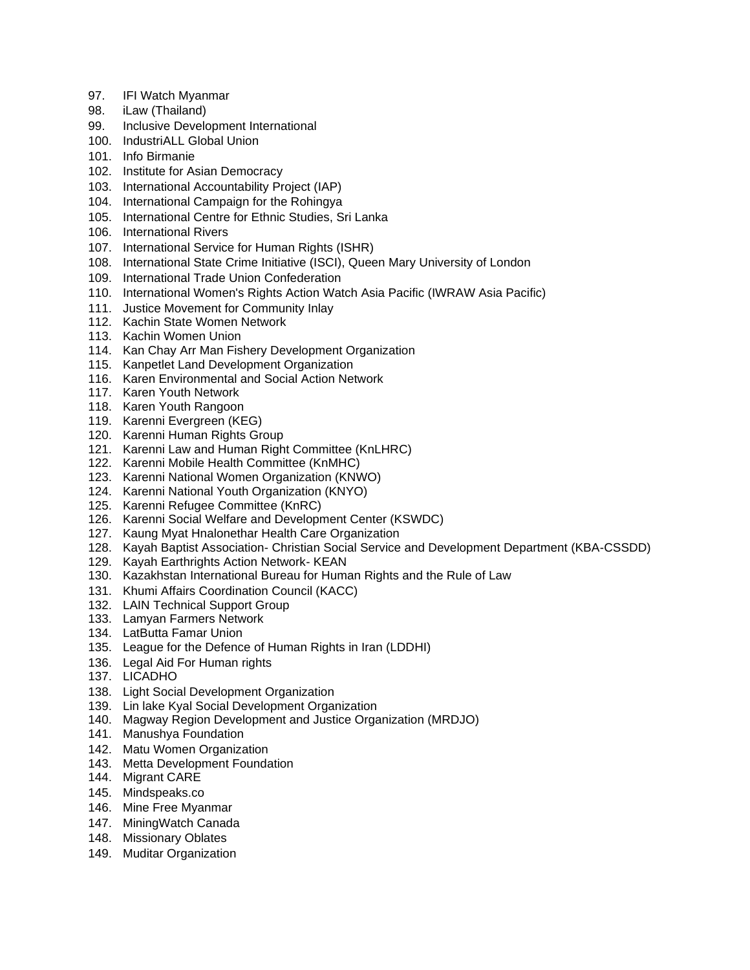- 97. IFI Watch Myanmar
- 98. iLaw (Thailand)
- 99. Inclusive Development International
- 100. IndustriALL Global Union
- 101. Info Birmanie
- 102. Institute for Asian Democracy
- 103. International Accountability Project (IAP)
- 104. International Campaign for the Rohingya
- 105. International Centre for Ethnic Studies, Sri Lanka
- 106. International Rivers
- 107. International Service for Human Rights (ISHR)
- 108. International State Crime Initiative (ISCI), Queen Mary University of London
- 109. International Trade Union Confederation
- 110. International Women's Rights Action Watch Asia Pacific (IWRAW Asia Pacific)
- 111. Justice Movement for Community Inlay
- 112. Kachin State Women Network
- 113. Kachin Women Union
- 114. Kan Chay Arr Man Fishery Development Organization
- 115. Kanpetlet Land Development Organization
- 116. Karen Environmental and Social Action Network
- 117. Karen Youth Network
- 118. Karen Youth Rangoon
- 119. Karenni Evergreen (KEG)
- 120. Karenni Human Rights Group
- 121. Karenni Law and Human Right Committee (KnLHRC)
- 122. Karenni Mobile Health Committee (KnMHC)
- 123. Karenni National Women Organization (KNWO)
- 124. Karenni National Youth Organization (KNYO)
- 125. Karenni Refugee Committee (KnRC)
- 126. Karenni Social Welfare and Development Center (KSWDC)
- 127. Kaung Myat Hnalonethar Health Care Organization
- 128. Kayah Baptist Association- Christian Social Service and Development Department (KBA-CSSDD)
- 129. Kayah Earthrights Action Network- KEAN
- 130. Kazakhstan International Bureau for Human Rights and the Rule of Law
- 131. Khumi Affairs Coordination Council (KACC)
- 132. LAIN Technical Support Group
- 133. Lamyan Farmers Network
- 134. LatButta Famar Union
- 135. League for the Defence of Human Rights in Iran (LDDHI)
- 136. Legal Aid For Human rights
- 137. LICADHO
- 138. Light Social Development Organization
- 139. Lin lake Kyal Social Development Organization
- 140. Magway Region Development and Justice Organization (MRDJO)
- 141. Manushya Foundation
- 142. Matu Women Organization
- 143. Metta Development Foundation
- 144. Migrant CARE
- 145. Mindspeaks.co
- 146. Mine Free Myanmar
- 147. MiningWatch Canada
- 148. Missionary Oblates
- 149. Muditar Organization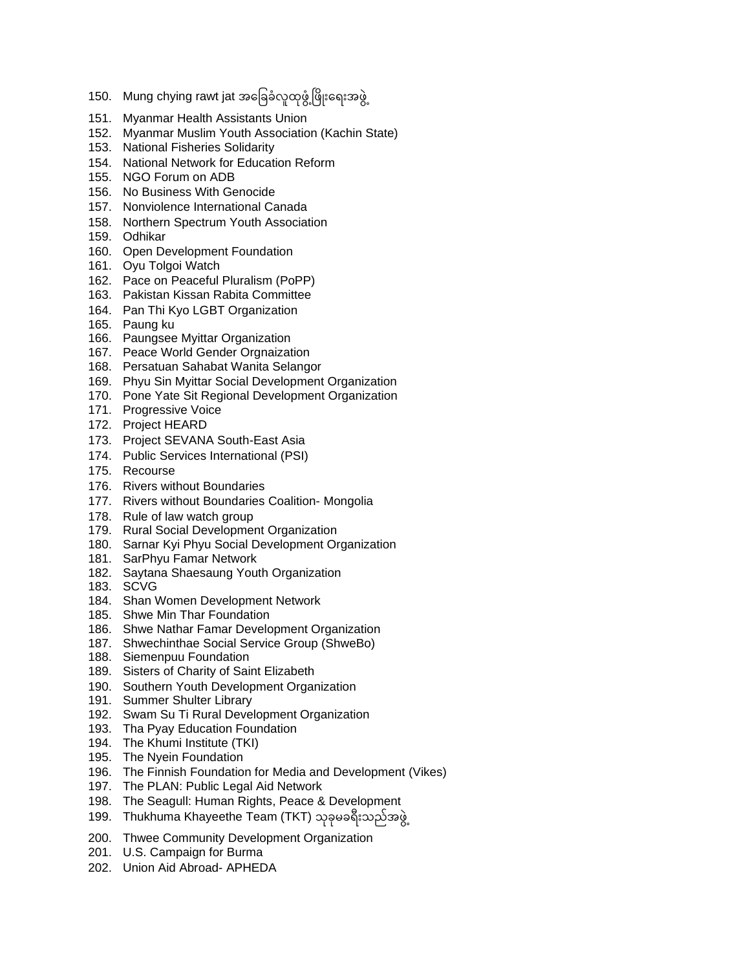- 150. Mung chying rawt jat အခြေခံလူထုဖွံ့ဖြိုးရေးအဖွဲ့
- 151. Myanmar Health Assistants Union
- 152. Myanmar Muslim Youth Association (Kachin State)
- 153. National Fisheries Solidarity
- 154. National Network for Education Reform
- 155. NGO Forum on ADB
- 156. No Business With Genocide
- 157. Nonviolence International Canada
- 158. Northern Spectrum Youth Association
- 159. Odhikar
- 160. Open Development Foundation
- 161. Oyu Tolgoi Watch
- 162. Pace on Peaceful Pluralism (PoPP)
- 163. Pakistan Kissan Rabita Committee
- 164. Pan Thi Kyo LGBT Organization
- 165. Paung ku
- 166. Paungsee Myittar Organization
- 167. Peace World Gender Orgnaization
- 168. Persatuan Sahabat Wanita Selangor
- 169. Phyu Sin Myittar Social Development Organization
- 170. Pone Yate Sit Regional Development Organization
- 171. Progressive Voice
- 172. Project HEARD
- 173. Project SEVANA South-East Asia
- 174. Public Services International (PSI)
- 175. Recourse
- 176. Rivers without Boundaries
- 177. Rivers without Boundaries Coalition- Mongolia
- 178. Rule of law watch group
- 179. Rural Social Development Organization
- 180. Sarnar Kyi Phyu Social Development Organization
- 181. SarPhyu Famar Network
- 182. Saytana Shaesaung Youth Organization
- 183. SCVG
- 184. Shan Women Development Network
- 185. Shwe Min Thar Foundation
- 186. Shwe Nathar Famar Development Organization
- 187. Shwechinthae Social Service Group (ShweBo)
- 188. Siemenpuu Foundation
- 189. Sisters of Charity of Saint Elizabeth
- 190. Southern Youth Development Organization
- 191. Summer Shulter Library
- 192. Swam Su Ti Rural Development Organization
- 193. Tha Pyay Education Foundation
- 194. The Khumi Institute (TKI)
- 195. The Nyein Foundation
- 196. The Finnish Foundation for Media and Development (Vikes)
- 197. The PLAN: Public Legal Aid Network
- 198. The Seagull: Human Rights, Peace & Development
- 199. Thukhuma Khayeethe Team (TKT) သုခုမခရီးသည်အဖွဲ့
- 200. Thwee Community Development Organization
- 201. U.S. Campaign for Burma
- 202. Union Aid Abroad- APHEDA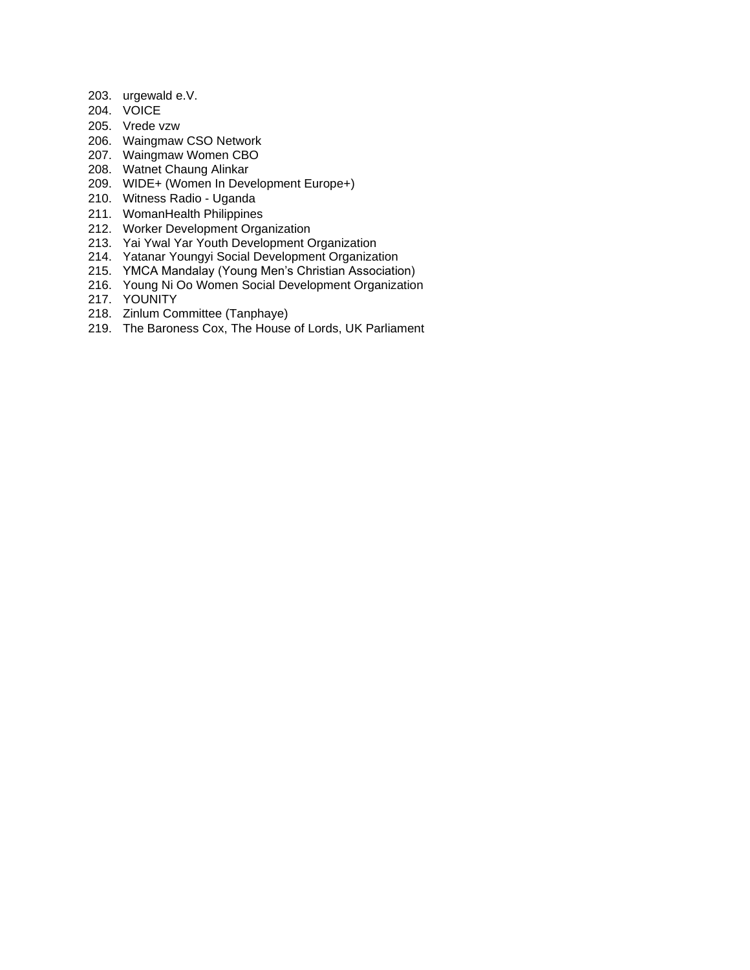- 203. urgewald e.V.
- 204. VOICE
- 205. Vrede vzw
- 206. Waingmaw CSO Network
- 207. Waingmaw Women CBO
- 208. Watnet Chaung Alinkar
- 209. WIDE+ (Women In Development Europe+)
- 210. Witness Radio Uganda
- 211. WomanHealth Philippines
- 212. Worker Development Organization
- 213. Yai Ywal Yar Youth Development Organization
- 214. Yatanar Youngyi Social Development Organization
- 215. YMCA Mandalay (Young Men's Christian Association)
- 216. Young Ni Oo Women Social Development Organization
- 217. YOUNITY
- 218. Zinlum Committee (Tanphaye)
- 219. The Baroness Cox, The House of Lords, UK Parliament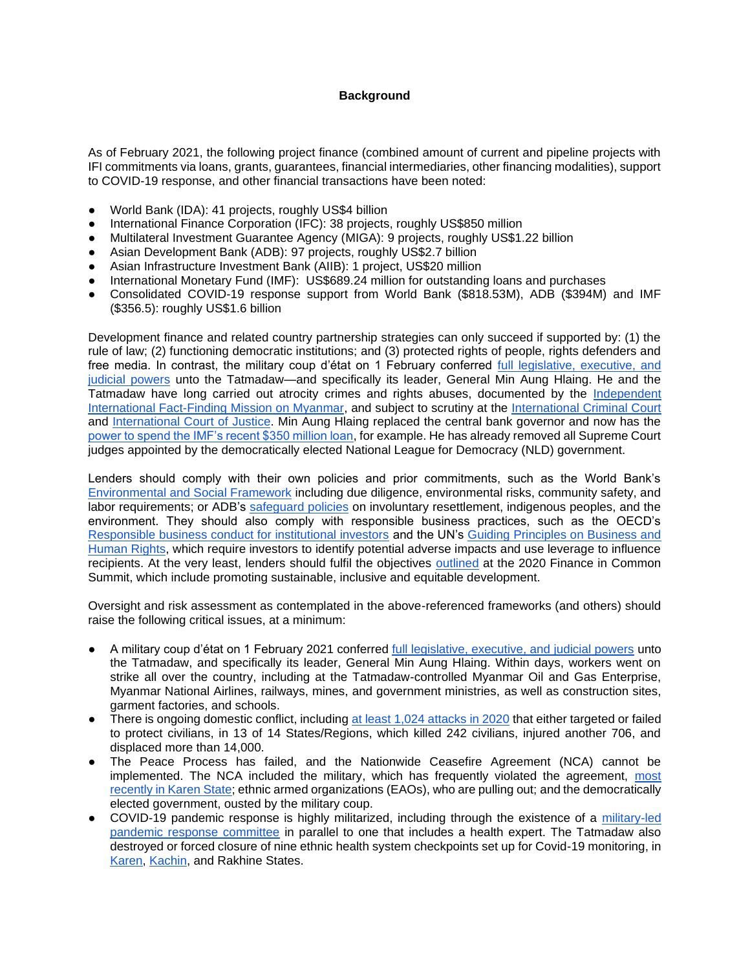## **Background**

As of February 2021, the following project finance (combined amount of current and pipeline projects with IFI commitments via loans, grants, guarantees, financial intermediaries, other financing modalities), support to COVID-19 response, and other financial transactions have been noted:

- World Bank (IDA): 41 projects, roughly US\$4 billion
- International Finance Corporation (IFC): 38 projects, roughly US\$850 million
- Multilateral Investment Guarantee Agency (MIGA): 9 projects, roughly US\$1.22 billion
- Asian Development Bank (ADB): 97 projects, roughly US\$2.7 billion
- Asian Infrastructure Investment Bank (AIIB): 1 project, US\$20 million
- International Monetary Fund (IMF): US\$689.24 million for outstanding loans and purchases
- Consolidated COVID-19 response support from World Bank (\$818.53M), ADB (\$394M) and IMF (\$356.5): roughly US\$1.6 billion

Development finance and related country partnership strategies can only succeed if supported by: (1) the rule of law; (2) functioning democratic institutions; and (3) protected rights of people, rights defenders and free media. In contrast, the military coup d'état on 1 February conferred [full legislative, executive, and](https://www.mmtimes.com/news/myanmar-announces-state-emergency.html)  [judicial powers](https://www.mmtimes.com/news/myanmar-announces-state-emergency.html) unto the Tatmadaw—and specifically its leader, General Min Aung Hlaing. He and the Tatmadaw have long carried out atrocity crimes and rights abuses, documented by the [Independent](https://www.ohchr.org/Documents/HRBodies/HRCouncil/FFM-Myanmar/20190916/A_HRC_42_CRP.5.pdf)  [International Fact-Finding Mission on Myanmar,](https://www.ohchr.org/Documents/HRBodies/HRCouncil/FFM-Myanmar/20190916/A_HRC_42_CRP.5.pdf) and subject to scrutiny at the [International Criminal Court](https://www.icc-cpi.int/CourtRecords/CR2019_06955.PDF) an[d](https://www.icj-cij.org/public/files/case-related/178/178-20200123-ORD-01-00-EN.pdf) [International Court of Justice.](https://www.icj-cij.org/public/files/case-related/178/178-20200123-ORD-01-00-EN.pdf) Min Aung Hlaing replaced the central bank governor and now has th[e](https://www.reuters.com/article/myanmar-politics-imf/days-before-coup-imf-sent-myanmar-350-mln-in-emergency-aid-it-cannot-get-back-idUSL1N2K835G) [power to spend the IMF's recent \\$350 million loan,](https://www.reuters.com/article/myanmar-politics-imf/days-before-coup-imf-sent-myanmar-350-mln-in-emergency-aid-it-cannot-get-back-idUSL1N2K835G) for example. He has already removed all Supreme Court judges appointed by the democratically elected National League for Democracy (NLD) government.

Lenders should comply with their own policies and prior commitments, such as the World Bank'[s](http://pubdocs.worldbank.org/en/837721522762050108/Environmental-and-Social-Framework.pdf) [Environmental and Social Framework](http://pubdocs.worldbank.org/en/837721522762050108/Environmental-and-Social-Framework.pdf) including due diligence, environmental risks, community safety, and labor requirements; or ADB'[s](https://www.adb.org/sites/default/files/institutional-document/32056/safeguard-policy-statement-june2009.pdf) [safeguard policies](https://www.adb.org/sites/default/files/institutional-document/32056/safeguard-policy-statement-june2009.pdf) on involuntary resettlement, indigenous peoples, and the environment. They should also comply with responsible business practices, such as the OECD'[s](https://mneguidelines.oecd.org/RBC-for-Institutional-Investors.pdf) [Responsible business conduct for institutional investors](https://mneguidelines.oecd.org/RBC-for-Institutional-Investors.pdf) and the UN's [Guiding Principles on Business and](https://www.ohchr.org/documents/publications/guidingprinciplesbusinesshr_en.pdf)  [Human Rights,](https://www.ohchr.org/documents/publications/guidingprinciplesbusinesshr_en.pdf) which require investors to identify potential adverse impacts and use leverage to influence recipient[s](https://financeincommon.org/sites/default/files/2021-01/FiCS%20-%20Joint%20declaration%20of%20all%20Public%20Development%20Banks_0.pdf). At the very least, lenders should fulfil the objectives [outlined](https://financeincommon.org/sites/default/files/2021-01/FiCS%20-%20Joint%20declaration%20of%20all%20Public%20Development%20Banks_0.pdf) at the 2020 Finance in Common Summit, which include promoting sustainable, inclusive and equitable development.

Oversight and risk assessment as contemplated in the above-referenced frameworks (and others) should raise the following critical issues, at a minimum:

- A military coup d'état on 1 February 2021 conferre[d](https://www.mmtimes.com/news/myanmar-announces-state-emergency.html) [full legislative, executive, and judicial powers](https://www.mmtimes.com/news/myanmar-announces-state-emergency.html) unto the Tatmadaw, and specifically its leader, General Min Aung Hlaing. Within days, workers went on strike all over the country, including at the Tatmadaw-controlled Myanmar Oil and Gas Enterprise, Myanmar National Airlines, railways, mines, and government ministries, as well as construction sites, garment factories, and schools.
- There is ongoing domestic conflict, including [at least 1,024 attacks in 2020](https://drive.google.com/file/d/1i3zDStm9M71vNaL2FJ3ZAEUTA2eejiAq/view) that either targeted or failed to protect civilians, in 13 of 14 States/Regions, which killed 242 civilians, injured another 706, and displaced more than 14,000.
- The Peace Process has failed, and the Nationwide Ceasefire Agreement (NCA) cannot be implemented. The NCA included the military, which has frequently violated the agreement, [most](http://karennews.org/2021/01/4000-displaced-european-alliance-demands-burma-military-stop-its-attacks-in-karen-state/)  [recently in Karen State;](http://karennews.org/2021/01/4000-displaced-european-alliance-demands-burma-military-stop-its-attacks-in-karen-state/) ethnic armed organizations (EAOs), who are pulling out; and the democratically elected government, ousted by the military coup.
- COVID-19 pandemic response is highly militarized, including through the existence of a military-led [pandemic response committee](https://progressivevoicemyanmar.org/wp-content/uploads/2020/06/Final_PV-COVID-19_Report-2020.pdf) in parallel to one that includes a health expert. The Tatmadaw also destroyed or forced closure of nine ethnic health system checkpoints set up for Covid-19 monitoring, i[n](https://progressivevoicemyanmar.org/wp-content/uploads/2020/06/Virus-warfare_Eng.pdf) [Karen,](https://progressivevoicemyanmar.org/wp-content/uploads/2020/06/Virus-warfare_Eng.pdf) [Kachin,](https://kachinnews.com/2020/06/24/burma-army-destroys-kio-covid-19-screening-point/) and Rakhine States.